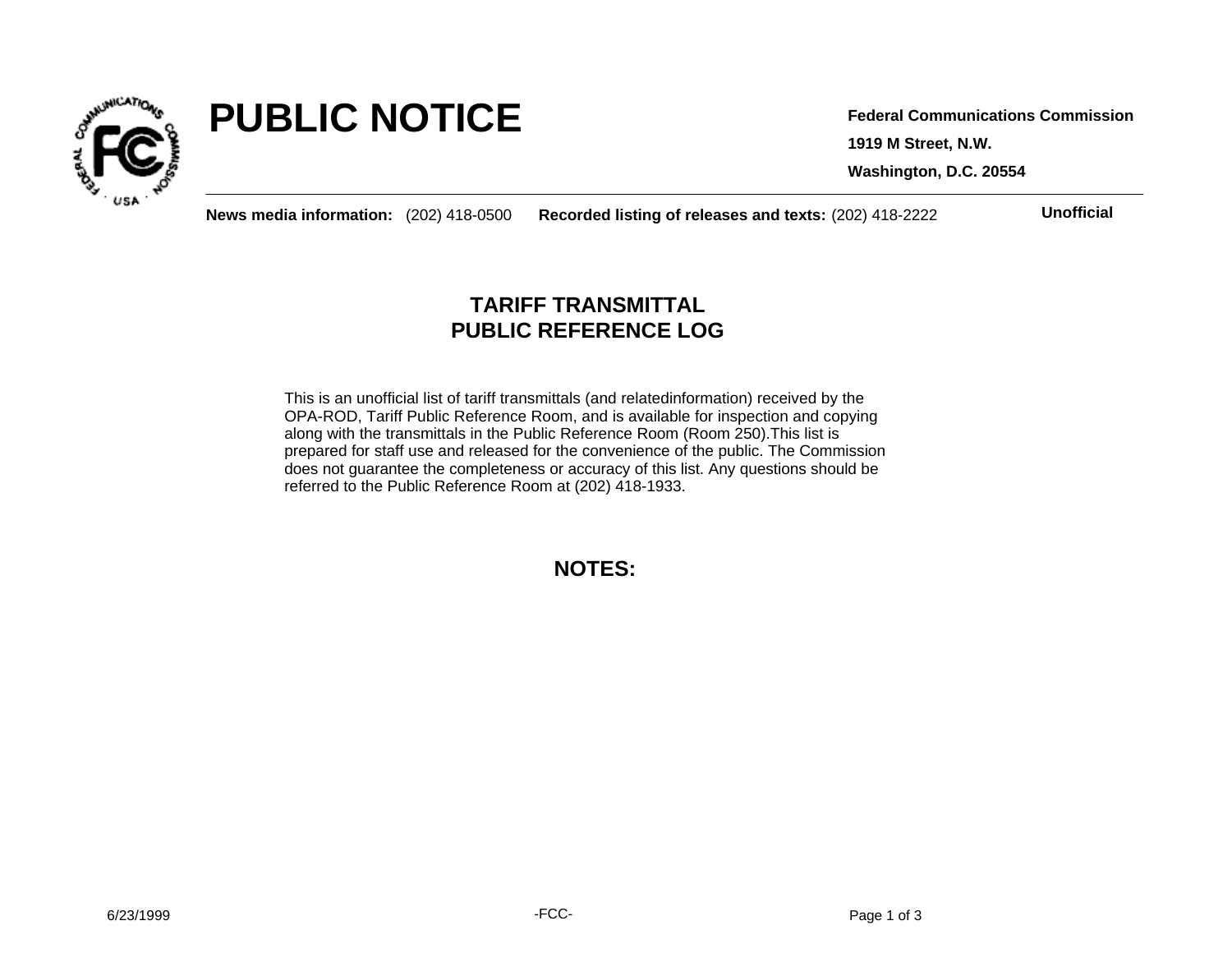

# **PUBLIC NOTICE**

**1919 M Street, N.W. Washington, D.C. 20554 Federal Communications Commission**

**News media information:** (202) 418-0500 **Recorded listing of releases and texts:** (202) 418-2222 **Unofficial**

## **TARIFF TRANSMITTAL PUBLIC REFERENCE LOG**

This is an unofficial list of tariff transmittals (and relatedinformation) received by the OPA-ROD, Tariff Public Reference Room, and is available for inspection and copying along with the transmittals in the Public Reference Room (Room 250).This list is prepared for staff use and released for the convenience of the public. The Commission does not guarantee the completeness or accuracy of this list. Any questions should be referred to the Public Reference Room at (202) 418-1933.

**NOTES:**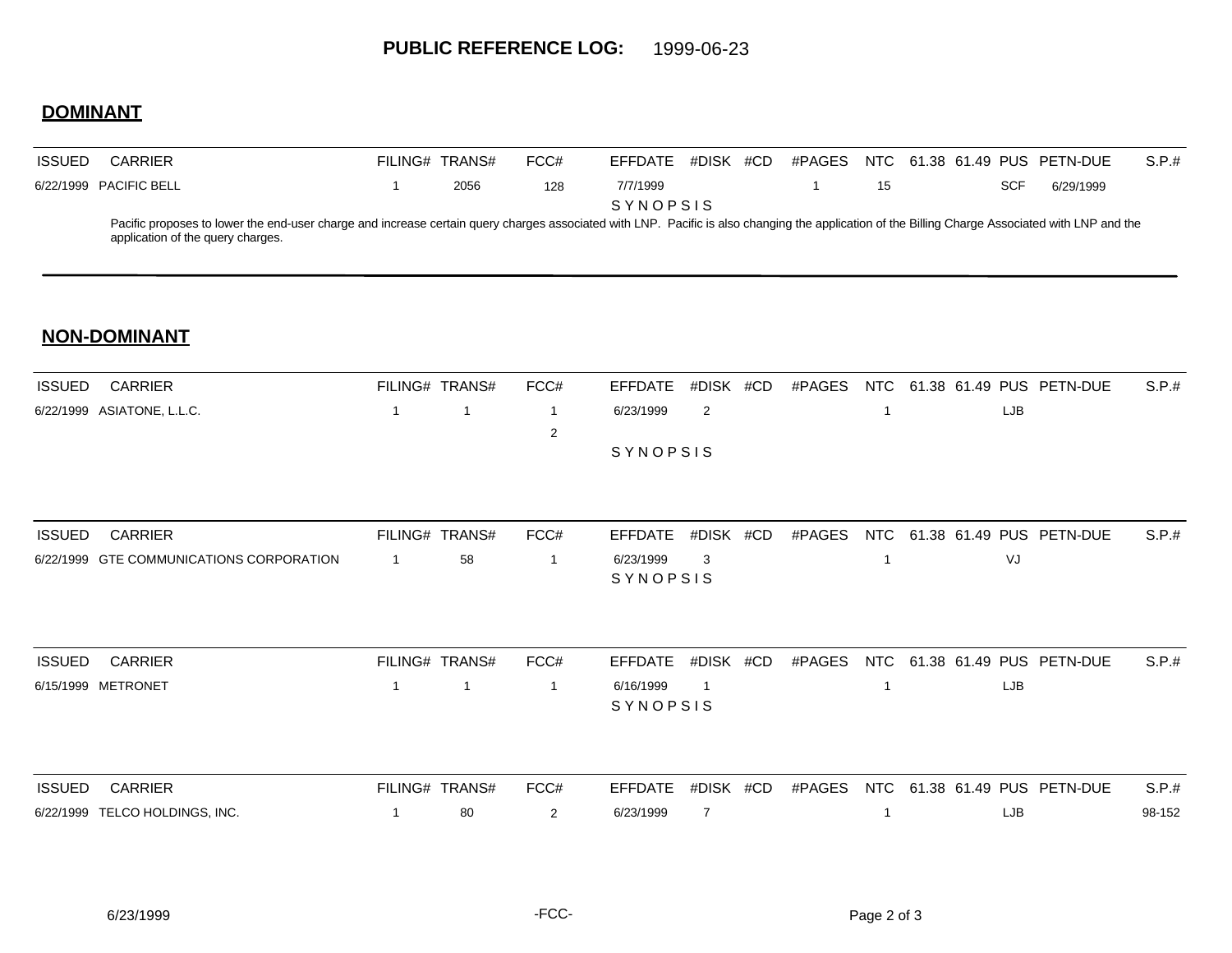## **DOMINANT**

| <b>ISSUED</b> | CARRIER                                                                                                                                                                                                                               | FILING# | TRANS# | FCC# | EFFDATE         | #DISK | #CD | #PAGES |    |  | NTC 61.38 61.49 PUS PETN-DUE |           | S.P.# |
|---------------|---------------------------------------------------------------------------------------------------------------------------------------------------------------------------------------------------------------------------------------|---------|--------|------|-----------------|-------|-----|--------|----|--|------------------------------|-----------|-------|
|               | 6/22/1999 PACIFIC BELL                                                                                                                                                                                                                |         | 2056   | 128  | 7/7/1999        |       |     |        | 15 |  |                              | 6/29/1999 |       |
|               |                                                                                                                                                                                                                                       |         |        |      | <b>SYNOPSIS</b> |       |     |        |    |  |                              |           |       |
|               | Pacific proposes to lower the end-user charge and increase certain query charges associated with LNP. Pacific is also changing the application of the Billing Charge Associated with LNP and the<br>application of the query charges. |         |        |      |                 |       |     |        |    |  |                              |           |       |

### **NON-DOMINANT**

| <b>ISSUED</b> | <b>CARRIER</b>                           |              | FILING# TRANS# | FCC#           | <b>EFFDATE</b> | #DISK #CD      | #PAGES | NTC |     | 61.38 61.49 PUS PETN-DUE | S.P.#  |
|---------------|------------------------------------------|--------------|----------------|----------------|----------------|----------------|--------|-----|-----|--------------------------|--------|
|               | 6/22/1999 ASIATONE, L.L.C.               | $\mathbf{1}$ | $\mathbf{1}$   | $\mathbf{1}$   | 6/23/1999      | 2              |        |     | LJB |                          |        |
|               |                                          |              |                | $\overline{2}$ |                |                |        |     |     |                          |        |
|               |                                          |              |                |                | SYNOPSIS       |                |        |     |     |                          |        |
| <b>ISSUED</b> | <b>CARRIER</b>                           |              | FILING# TRANS# | FCC#           | <b>EFFDATE</b> | #DISK #CD      | #PAGES | NTC |     | 61.38 61.49 PUS PETN-DUE | S.P.#  |
|               | 6/22/1999 GTE COMMUNICATIONS CORPORATION | $\mathbf{1}$ | 58             | -1             | 6/23/1999      | 3              |        |     | VJ  |                          |        |
|               |                                          |              |                |                | SYNOPSIS       |                |        |     |     |                          |        |
| <b>ISSUED</b> | <b>CARRIER</b>                           |              | FILING# TRANS# | FCC#           | <b>EFFDATE</b> | #DISK #CD      | #PAGES | NTC |     | 61.38 61.49 PUS PETN-DUE | S.P.#  |
|               | 6/15/1999 METRONET                       | $\mathbf{1}$ | 1              | 1              | 6/16/1999      |                |        |     | LJB |                          |        |
|               |                                          |              |                |                | SYNOPSIS       |                |        |     |     |                          |        |
| <b>ISSUED</b> | <b>CARRIER</b>                           |              | FILING# TRANS# | FCC#           | <b>EFFDATE</b> | #DISK #CD      | #PAGES | NTC |     | 61.38 61.49 PUS PETN-DUE | S.P.#  |
|               | 6/22/1999 TELCO HOLDINGS, INC.           | 1            | 80             | $\overline{2}$ | 6/23/1999      | $\overline{7}$ |        |     | LJB |                          | 98-152 |